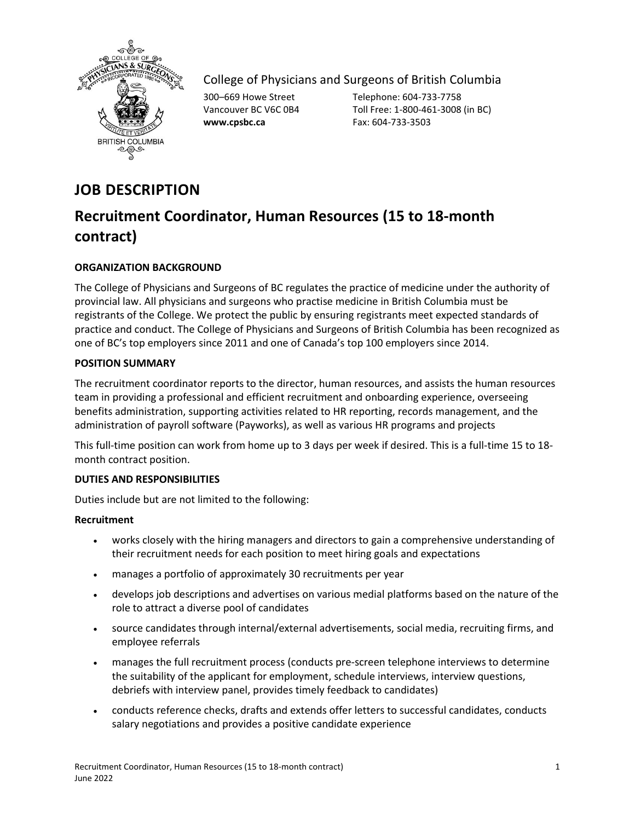

College of Physicians and Surgeons of British Columbia

**www.cpsbc.ca** Fax: 604-733-3503

300–669 Howe Street Telephone: 604-733-7758 Vancouver BC V6C 0B4 Toll Free: 1-800-461-3008 (in BC)

# **JOB DESCRIPTION**

# **Recruitment Coordinator, Human Resources (15 to 18-month contract)**

## **ORGANIZATION BACKGROUND**

The College of Physicians and Surgeons of BC regulates the practice of medicine under the authority of provincial law. All physicians and surgeons who practise medicine in British Columbia must be registrants of the College. We protect the public by ensuring registrants meet expected standards of practice and conduct. The College of Physicians and Surgeons of British Columbia has been recognized as one of BC's top employers since 2011 and one of Canada's top 100 employers since 2014.

## **POSITION SUMMARY**

The recruitment coordinator reports to the director, human resources, and assists the human resources team in providing a professional and efficient recruitment and onboarding experience, overseeing benefits administration, supporting activities related to HR reporting, records management, and the administration of payroll software (Payworks), as well as various HR programs and projects

This full-time position can work from home up to 3 days per week if desired. This is a full-time 15 to 18 month contract position.

## **DUTIES AND RESPONSIBILITIES**

Duties include but are not limited to the following:

## **Recruitment**

- works closely with the hiring managers and directors to gain a comprehensive understanding of their recruitment needs for each position to meet hiring goals and expectations
- manages a portfolio of approximately 30 recruitments per year
- develops job descriptions and advertises on various medial platforms based on the nature of the role to attract a diverse pool of candidates
- source candidates through internal/external advertisements, social media, recruiting firms, and employee referrals
- manages the full recruitment process (conducts pre-screen telephone interviews to determine the suitability of the applicant for employment, schedule interviews, interview questions, debriefs with interview panel, provides timely feedback to candidates)
- conducts reference checks, drafts and extends offer letters to successful candidates, conducts salary negotiations and provides a positive candidate experience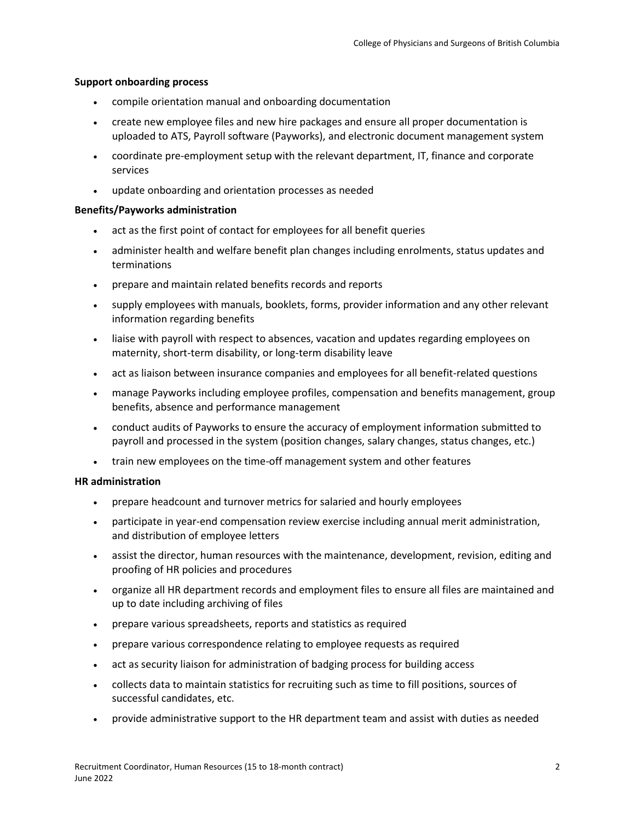#### **Support onboarding process**

- compile orientation manual and onboarding documentation
- create new employee files and new hire packages and ensure all proper documentation is uploaded to ATS, Payroll software (Payworks), and electronic document management system
- coordinate pre-employment setup with the relevant department, IT, finance and corporate services
- update onboarding and orientation processes as needed

#### **Benefits/Payworks administration**

- act as the first point of contact for employees for all benefit queries
- administer health and welfare benefit plan changes including enrolments, status updates and terminations
- prepare and maintain related benefits records and reports
- supply employees with manuals, booklets, forms, provider information and any other relevant information regarding benefits
- liaise with payroll with respect to absences, vacation and updates regarding employees on maternity, short-term disability, or long-term disability leave
- act as liaison between insurance companies and employees for all benefit-related questions
- manage Payworks including employee profiles, compensation and benefits management, group benefits, absence and performance management
- conduct audits of Payworks to ensure the accuracy of employment information submitted to payroll and processed in the system (position changes, salary changes, status changes, etc.)
- train new employees on the time-off management system and other features

### **HR administration**

- prepare headcount and turnover metrics for salaried and hourly employees
- participate in year-end compensation review exercise including annual merit administration, and distribution of employee letters
- assist the director, human resources with the maintenance, development, revision, editing and proofing of HR policies and procedures
- organize all HR department records and employment files to ensure all files are maintained and up to date including archiving of files
- prepare various spreadsheets, reports and statistics as required
- prepare various correspondence relating to employee requests as required
- act as security liaison for administration of badging process for building access
- collects data to maintain statistics for recruiting such as time to fill positions, sources of successful candidates, etc.
- provide administrative support to the HR department team and assist with duties as needed